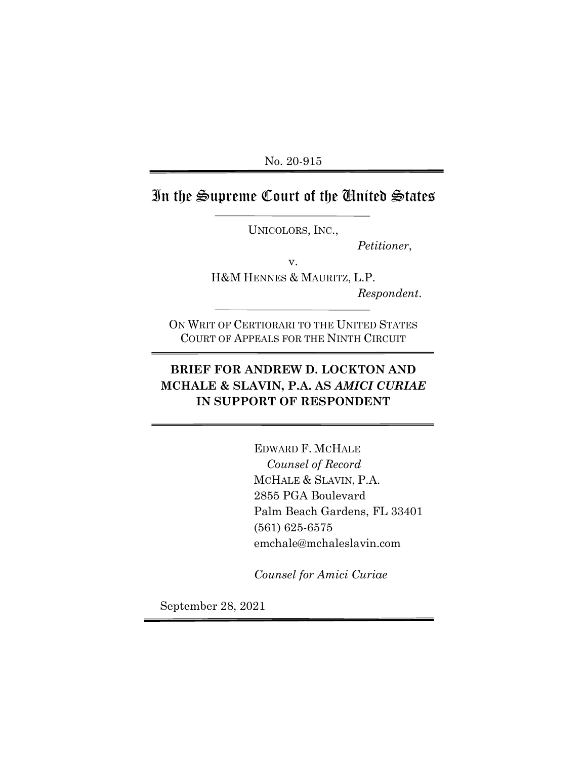No. 20-915

# In the Supreme Court of the United States

UNICOLORS, INC.,

v.

*Petitioner*,

H&M HENNES & MAURITZ, L.P. *Respondent*.

ON WRIT OF CERTIORARI TO THE UNITED STATES COURT OF APPEALS FOR THE NINTH CIRCUIT

## **BRIEF FOR ANDREW D. LOCKTON AND MCHALE & SLAVIN, P.A. AS** *AMICI CURIAE*  **IN SUPPORT OF RESPONDENT**

EDWARD F. MCHALE *Counsel of Record* MCHALE & SLAVIN, P.A. 2855 PGA Boulevard Palm Beach Gardens, FL 33401 (561) 625-6575 emchale@mchaleslavin.com

*Counsel for Amici Curiae*

September 28, 2021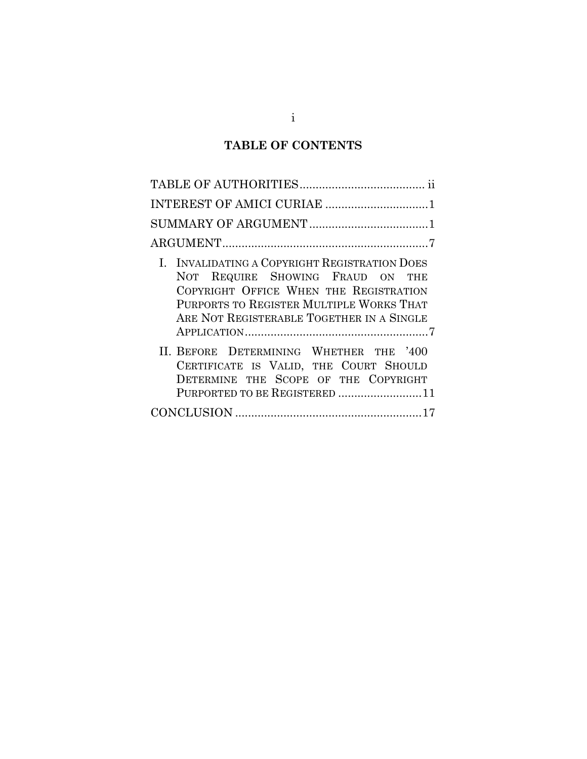## **TABLE OF CONTENTS**

| INTEREST OF AMICI CURIAE 1                                                                                                                                                                                           |
|----------------------------------------------------------------------------------------------------------------------------------------------------------------------------------------------------------------------|
|                                                                                                                                                                                                                      |
|                                                                                                                                                                                                                      |
| I. INVALIDATING A COPYRIGHT REGISTRATION DOES<br>NOT REQUIRE SHOWING FRAUD ON THE<br>COPYRIGHT OFFICE WHEN THE REGISTRATION<br>PURPORTS TO REGISTER MULTIPLE WORKS THAT<br>ARE NOT REGISTERABLE TOGETHER IN A SINGLE |
| II. BEFORE DETERMINING WHETHER THE '400<br>CERTIFICATE IS VALID, THE COURT SHOULD<br>DETERMINE THE SCOPE OF THE COPYRIGHT<br>PURPORTED TO BE REGISTERED 11                                                           |
|                                                                                                                                                                                                                      |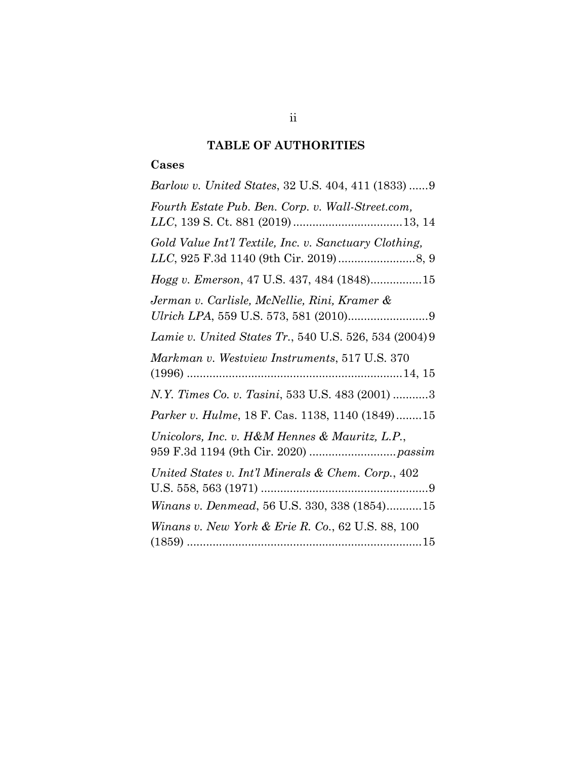## **TABLE OF AUTHORITIES**

### **Cases**

| Barlow v. United States, 32 U.S. 404, 411 (1833) 9           |
|--------------------------------------------------------------|
| Fourth Estate Pub. Ben. Corp. v. Wall-Street.com,            |
| Gold Value Int'l Textile, Inc. v. Sanctuary Clothing,        |
| Hogg v. Emerson, 47 U.S. 437, 484 (1848)15                   |
| Jerman v. Carlisle, McNellie, Rini, Kramer &                 |
| Lamie v. United States Tr., 540 U.S. 526, 534 (2004) 9       |
| Markman v. Westview Instruments, 517 U.S. 370                |
| N.Y. Times Co. v. Tasini, 533 U.S. 483 (2001) 3              |
| Parker v. Hulme, 18 F. Cas. 1138, 1140 (1849)15              |
| Unicolors, Inc. v. H&M Hennes & Mauritz, L.P.,               |
| United States v. Int'l Minerals & Chem. Corp., 402           |
| Winans v. Denmead, 56 U.S. 330, 338 (1854)15                 |
| <i>Winans v. New York &amp; Erie R. Co., 62 U.S. 88, 100</i> |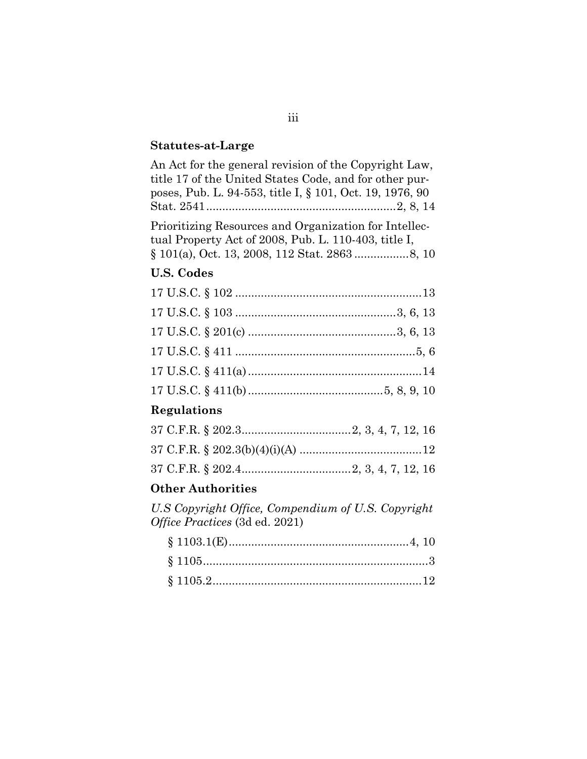### **Statutes-at-Large**

| An Act for the general revision of the Copyright Law,    |
|----------------------------------------------------------|
| title 17 of the United States Code, and for other pur-   |
| poses, Pub. L. 94-553, title I, § 101, Oct. 19, 1976, 90 |
|                                                          |
| Prioritizing Resources and Organization for Intellec-    |
| tual Property Act of 2008, Pub. L. 110-403, title I,     |
|                                                          |

#### **U.S. Codes**

### **Regulations**

#### **Other Authorities**

*U.S Copyright Office, Compendium of U.S. Copyright Office Practices* (3d ed. 2021)

#### iii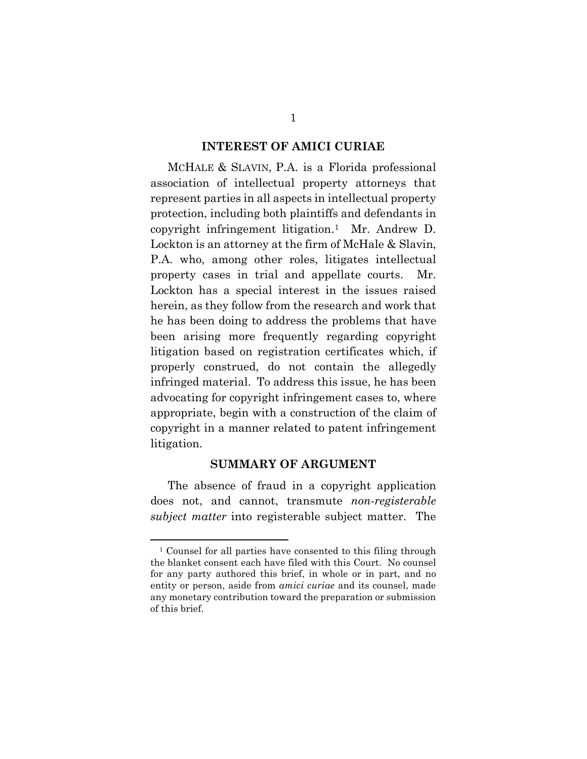#### **INTEREST OF AMICI CURIAE**

MCHALE & SLAVIN, P.A. is a Florida professional association of intellectual property attorneys that represent parties in all aspects in intellectual property protection, including both plaintiffs and defendants in copyright infringement litigation.[1](#page-4-0) Mr. Andrew D. Lockton is an attorney at the firm of McHale & Slavin, P.A. who, among other roles, litigates intellectual property cases in trial and appellate courts. Mr. Lockton has a special interest in the issues raised herein, as they follow from the research and work that he has been doing to address the problems that have been arising more frequently regarding copyright litigation based on registration certificates which, if properly construed, do not contain the allegedly infringed material. To address this issue, he has been advocating for copyright infringement cases to, where appropriate, begin with a construction of the claim of copyright in a manner related to patent infringement litigation.

#### **SUMMARY OF ARGUMENT**

The absence of fraud in a copyright application does not, and cannot, transmute *non-registerable subject matter* into registerable subject matter. The

<span id="page-4-0"></span><sup>1</sup> Counsel for all parties have consented to this filing through the blanket consent each have filed with this Court. No counsel for any party authored this brief, in whole or in part, and no entity or person, aside from *amici curiae* and its counsel, made any monetary contribution toward the preparation or submission of this brief.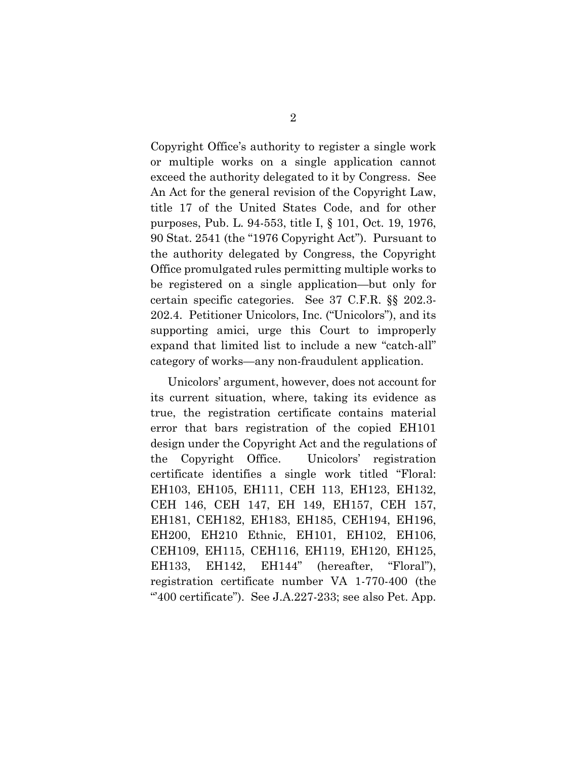Copyright Office's authority to register a single work or multiple works on a single application cannot exceed the authority delegated to it by Congress. See An Act for the general revision of the Copyright Law, title 17 of the United States Code, and for other purposes, Pub. L. 94-553, title I, § 101, Oct. 19, 1976, 90 Stat. 2541 (the "1976 Copyright Act"). Pursuant to the authority delegated by Congress, the Copyright Office promulgated rules permitting multiple works to be registered on a single application—but only for certain specific categories. See 37 C.F.R. §§ 202.3- 202.4. Petitioner Unicolors, Inc. ("Unicolors"), and its supporting amici, urge this Court to improperly expand that limited list to include a new "catch-all" category of works—any non-fraudulent application.

Unicolors' argument, however, does not account for its current situation, where, taking its evidence as true, the registration certificate contains material error that bars registration of the copied EH101 design under the Copyright Act and the regulations of the Copyright Office. Unicolors' registration certificate identifies a single work titled "Floral: EH103, EH105, EH111, CEH 113, EH123, EH132, CEH 146, CEH 147, EH 149, EH157, CEH 157, EH181, CEH182, EH183, EH185, CEH194, EH196, EH200, EH210 Ethnic, EH101, EH102, EH106, CEH109, EH115, CEH116, EH119, EH120, EH125, EH133, EH142, EH144" (hereafter, "Floral"), registration certificate number VA 1-770-400 (the " $400$  certificate"). See J.A.227-233; see also Pet. App.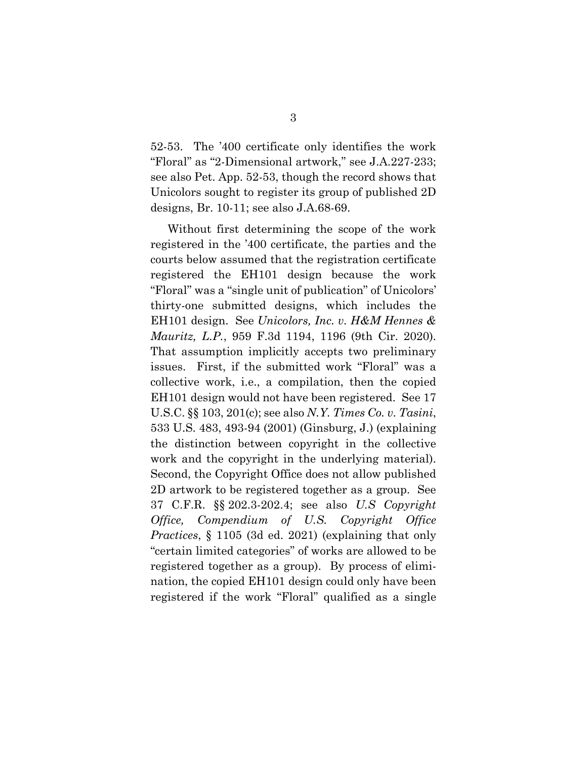52-53. The '400 certificate only identifies the work "Floral" as "2-Dimensional artwork," see J.A.227-233; see also Pet. App. 52-53, though the record shows that Unicolors sought to register its group of published 2D designs, Br. 10-11; see also J.A.68-69.

Without first determining the scope of the work registered in the '400 certificate, the parties and the courts below assumed that the registration certificate registered the EH101 design because the work "Floral" was a "single unit of publication" of Unicolors' thirty-one submitted designs, which includes the EH101 design. See *Unicolors, Inc. v. H&M Hennes & Mauritz, L.P.*, 959 F.3d 1194, 1196 (9th Cir. 2020). That assumption implicitly accepts two preliminary issues. First, if the submitted work "Floral" was a collective work, i.e., a compilation, then the copied EH101 design would not have been registered. See 17 U.S.C. §§ 103, 201(c); see also *N.Y. Times Co. v. Tasini*, 533 U.S. 483, 493-94 (2001) (Ginsburg, J.) (explaining the distinction between copyright in the collective work and the copyright in the underlying material). Second, the Copyright Office does not allow published 2D artwork to be registered together as a group. See 37 C.F.R. §§ 202.3-202.4; see also *U.S Copyright Office, Compendium of U.S. Copyright Office Practices*, § 1105 (3d ed. 2021) (explaining that only "certain limited categories" of works are allowed to be registered together as a group). By process of elimination, the copied EH101 design could only have been registered if the work "Floral" qualified as a single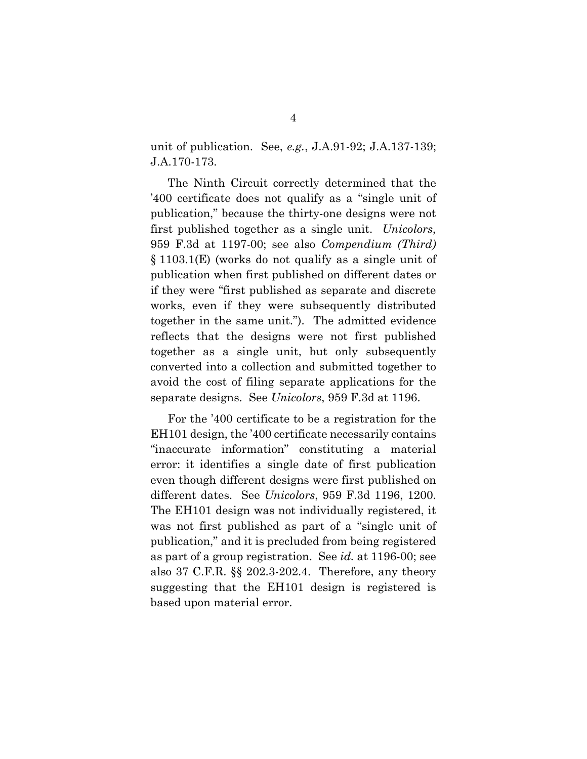unit of publication. See, *e.g.*, J.A.91-92; J.A.137-139; J.A.170-173.

The Ninth Circuit correctly determined that the '400 certificate does not qualify as a "single unit of publication," because the thirty-one designs were not first published together as a single unit. *Unicolors*, 959 F.3d at 1197-00; see also *Compendium (Third)* § 1103.1(E) (works do not qualify as a single unit of publication when first published on different dates or if they were "first published as separate and discrete works, even if they were subsequently distributed together in the same unit."). The admitted evidence reflects that the designs were not first published together as a single unit, but only subsequently converted into a collection and submitted together to avoid the cost of filing separate applications for the separate designs. See *Unicolors*, 959 F.3d at 1196.

For the '400 certificate to be a registration for the EH101 design, the '400 certificate necessarily contains "inaccurate information" constituting a material error: it identifies a single date of first publication even though different designs were first published on different dates. See *Unicolors*, 959 F.3d 1196, 1200. The EH101 design was not individually registered, it was not first published as part of a "single unit of publication," and it is precluded from being registered as part of a group registration. See *id.* at 1196-00; see also 37 C.F.R. §§ 202.3-202.4. Therefore, any theory suggesting that the EH101 design is registered is based upon material error.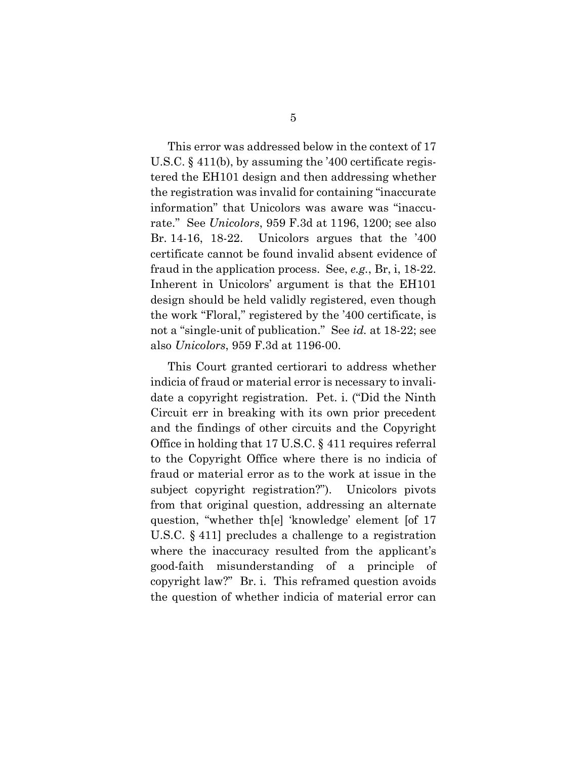This error was addressed below in the context of 17 U.S.C. § 411(b), by assuming the '400 certificate registered the EH101 design and then addressing whether the registration was invalid for containing "inaccurate information" that Unicolors was aware was "inaccurate." See *Unicolors*, 959 F.3d at 1196, 1200; see also Br. 14-16, 18-22. Unicolors argues that the '400 certificate cannot be found invalid absent evidence of fraud in the application process. See, *e.g.*, Br, i, 18-22. Inherent in Unicolors' argument is that the EH101 design should be held validly registered, even though the work "Floral," registered by the '400 certificate, is not a "single-unit of publication." See *id.* at 18-22; see also *Unicolors*, 959 F.3d at 1196-00.

This Court granted certiorari to address whether indicia of fraud or material error is necessary to invalidate a copyright registration. Pet. i. ("Did the Ninth Circuit err in breaking with its own prior precedent and the findings of other circuits and the Copyright Office in holding that 17 U.S.C. § 411 requires referral to the Copyright Office where there is no indicia of fraud or material error as to the work at issue in the subject copyright registration?"). Unicolors pivots from that original question, addressing an alternate question, "whether th[e] 'knowledge' element [of 17 U.S.C. § 411] precludes a challenge to a registration where the inaccuracy resulted from the applicant's good-faith misunderstanding of a principle of copyright law?" Br. i. This reframed question avoids the question of whether indicia of material error can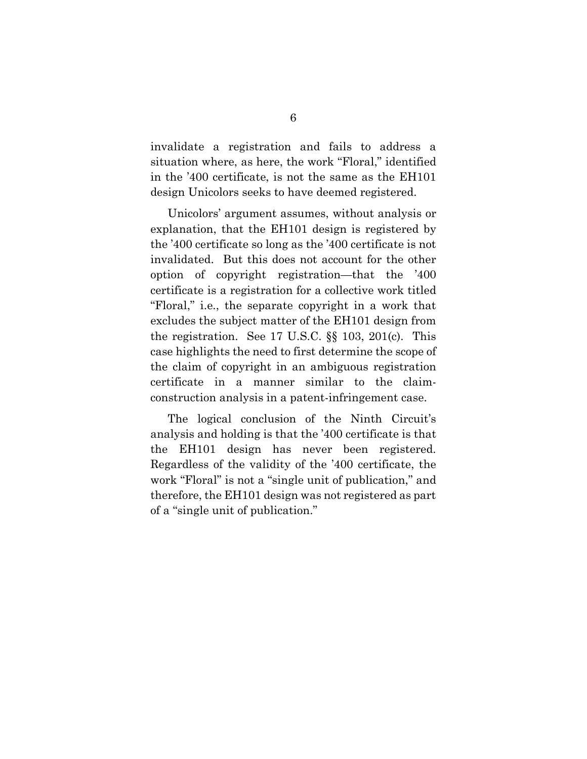invalidate a registration and fails to address a situation where, as here, the work "Floral," identified in the '400 certificate, is not the same as the EH101 design Unicolors seeks to have deemed registered.

Unicolors' argument assumes, without analysis or explanation, that the EH101 design is registered by the '400 certificate so long as the '400 certificate is not invalidated. But this does not account for the other option of copyright registration—that the '400 certificate is a registration for a collective work titled "Floral," i.e., the separate copyright in a work that excludes the subject matter of the EH101 design from the registration. See 17 U.S.C. §§ 103, 201(c). This case highlights the need to first determine the scope of the claim of copyright in an ambiguous registration certificate in a manner similar to the claimconstruction analysis in a patent-infringement case.

The logical conclusion of the Ninth Circuit's analysis and holding is that the '400 certificate is that the EH101 design has never been registered. Regardless of the validity of the '400 certificate, the work "Floral" is not a "single unit of publication," and therefore, the EH101 design was not registered as part of a "single unit of publication."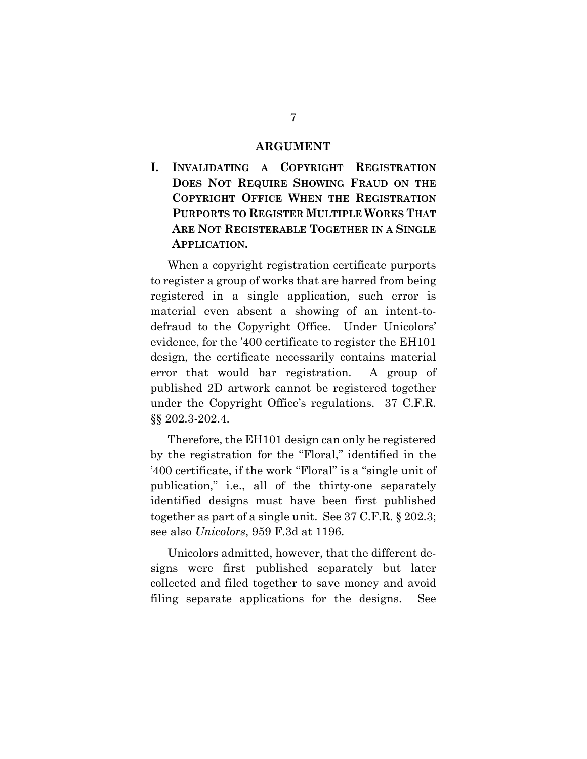#### **ARGUMENT**

**I. INVALIDATING A COPYRIGHT REGISTRATION DOES NOT REQUIRE SHOWING FRAUD ON THE COPYRIGHT OFFICE WHEN THE REGISTRATION PURPORTS TO REGISTER MULTIPLE WORKS THAT ARE NOT REGISTERABLE TOGETHER IN A SINGLE APPLICATION.** 

When a copyright registration certificate purports to register a group of works that are barred from being registered in a single application, such error is material even absent a showing of an intent-todefraud to the Copyright Office. Under Unicolors' evidence, for the '400 certificate to register the EH101 design, the certificate necessarily contains material error that would bar registration. A group of published 2D artwork cannot be registered together under the Copyright Office's regulations. 37 C.F.R. §§ 202.3-202.4.

Therefore, the EH101 design can only be registered by the registration for the "Floral," identified in the '400 certificate, if the work "Floral" is a "single unit of publication," i.e., all of the thirty-one separately identified designs must have been first published together as part of a single unit. See 37 C.F.R. § 202.3; see also *Unicolors*, 959 F.3d at 1196.

Unicolors admitted, however, that the different designs were first published separately but later collected and filed together to save money and avoid filing separate applications for the designs. See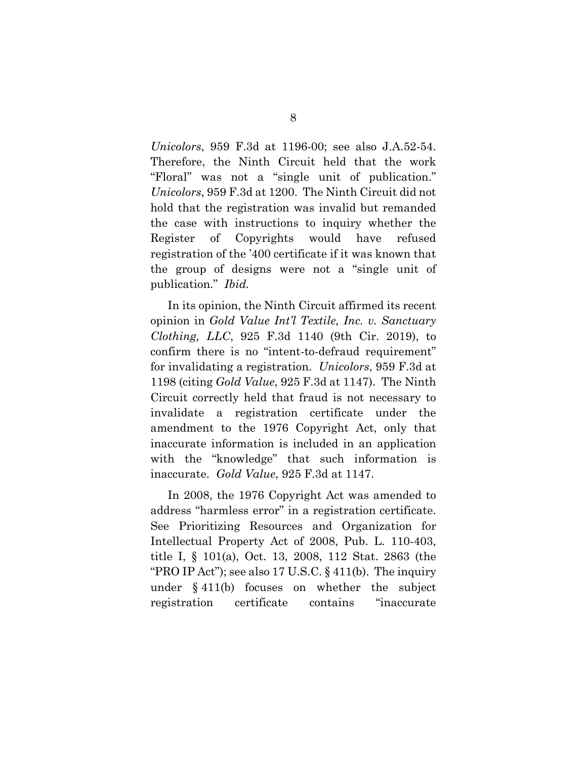*Unicolors*, 959 F.3d at 1196-00; see also J.A.52-54. Therefore, the Ninth Circuit held that the work "Floral" was not a "single unit of publication." *Unicolors*, 959 F.3d at 1200. The Ninth Circuit did not hold that the registration was invalid but remanded the case with instructions to inquiry whether the Register of Copyrights would have refused registration of the '400 certificate if it was known that the group of designs were not a "single unit of publication." *Ibid.*

In its opinion, the Ninth Circuit affirmed its recent opinion in *Gold Value Int'l Textile, Inc. v. Sanctuary Clothing, LLC*, 925 F.3d 1140 (9th Cir. 2019), to confirm there is no "intent-to-defraud requirement" for invalidating a registration. *Unicolors*, 959 F.3d at 1198 (citing *Gold Value*, 925 F.3d at 1147). The Ninth Circuit correctly held that fraud is not necessary to invalidate a registration certificate under the amendment to the 1976 Copyright Act, only that inaccurate information is included in an application with the "knowledge" that such information is inaccurate. *Gold Value*, 925 F.3d at 1147.

In 2008, the 1976 Copyright Act was amended to address "harmless error" in a registration certificate. See Prioritizing Resources and Organization for Intellectual Property Act of 2008, Pub. L. 110-403, title I, § 101(a), Oct. 13, 2008, 112 Stat. 2863 (the "PRO IP Act"); see also  $17 \text{ U.S.C.}$  §  $411(b)$ . The inquiry under § 411(b) focuses on whether the subject registration certificate contains "inaccurate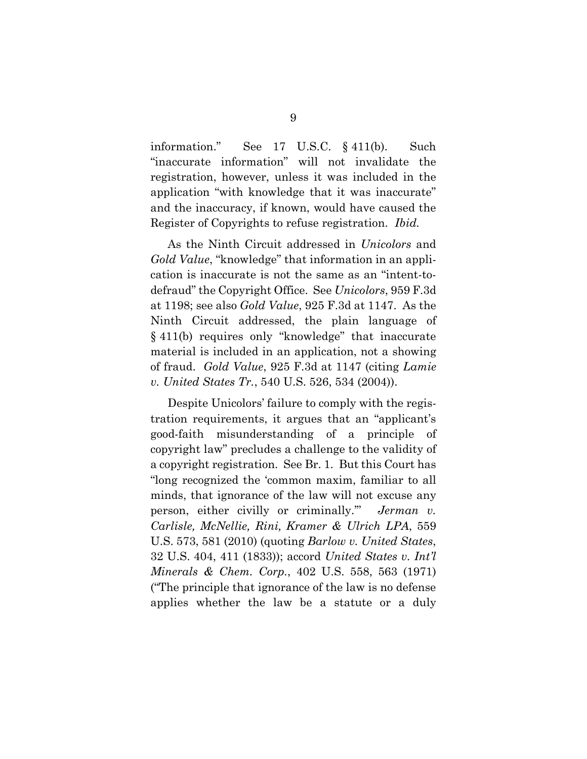information." See 17 U.S.C. § 411(b). Such "inaccurate information" will not invalidate the registration, however, unless it was included in the application "with knowledge that it was inaccurate" and the inaccuracy, if known, would have caused the Register of Copyrights to refuse registration. *Ibid.*

As the Ninth Circuit addressed in *Unicolors* and *Gold Value*, "knowledge" that information in an application is inaccurate is not the same as an "intent-todefraud" the Copyright Office. See *Unicolors*, 959 F.3d at 1198; see also *Gold Value*, 925 F.3d at 1147. As the Ninth Circuit addressed, the plain language of § 411(b) requires only "knowledge" that inaccurate material is included in an application, not a showing of fraud. *Gold Value*, 925 F.3d at 1147 (citing *Lamie v. United States Tr.*, 540 U.S. 526, 534 (2004)).

Despite Unicolors' failure to comply with the registration requirements, it argues that an "applicant's good-faith misunderstanding of a principle of copyright law" precludes a challenge to the validity of a copyright registration. See Br. 1. But this Court has "long recognized the 'common maxim, familiar to all minds, that ignorance of the law will not excuse any person, either civilly or criminally.'" *Jerman v. Carlisle, McNellie, Rini, Kramer & Ulrich LPA*, 559 U.S. 573, 581 (2010) (quoting *Barlow v. United States*, 32 U.S. 404, 411 (1833)); accord *United States v. Int'l Minerals & Chem. Corp.*, 402 U.S. 558, 563 (1971) ("The principle that ignorance of the law is no defense applies whether the law be a statute or a duly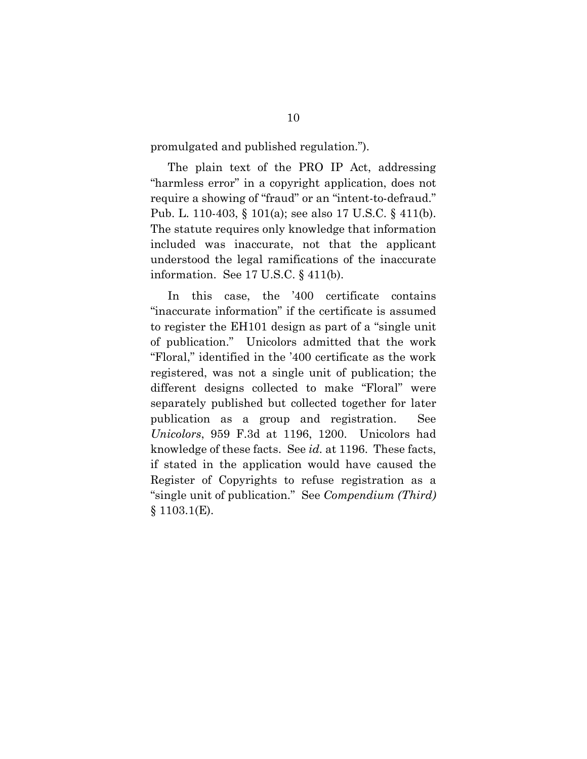promulgated and published regulation.").

The plain text of the PRO IP Act, addressing "harmless error" in a copyright application, does not require a showing of "fraud" or an "intent-to-defraud." Pub. L. 110-403, § 101(a); see also 17 U.S.C. § 411(b). The statute requires only knowledge that information included was inaccurate, not that the applicant understood the legal ramifications of the inaccurate information. See 17 U.S.C. § 411(b).

In this case, the '400 certificate contains "inaccurate information" if the certificate is assumed to register the EH101 design as part of a "single unit of publication." Unicolors admitted that the work "Floral," identified in the '400 certificate as the work registered, was not a single unit of publication; the different designs collected to make "Floral" were separately published but collected together for later publication as a group and registration. See *Unicolors*, 959 F.3d at 1196, 1200. Unicolors had knowledge of these facts. See *id.* at 1196. These facts, if stated in the application would have caused the Register of Copyrights to refuse registration as a "single unit of publication." See *Compendium (Third)*  $§ 1103.1(E).$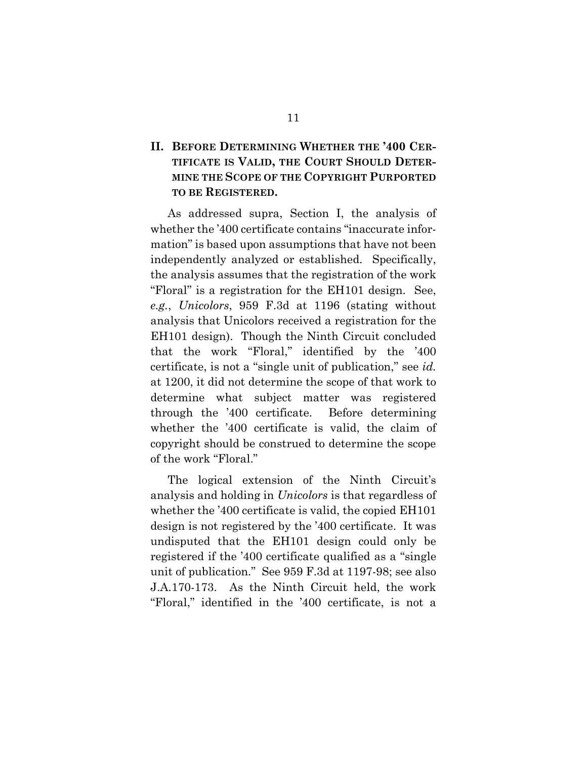## **II. BEFORE DETERMINING WHETHER THE '400 CER-TIFICATE IS VALID, THE COURT SHOULD DETER-MINE THE SCOPE OF THE COPYRIGHT PURPORTED TO BE REGISTERED.**

As addressed supra, Section I, the analysis of whether the '400 certificate contains "inaccurate information" is based upon assumptions that have not been independently analyzed or established. Specifically, the analysis assumes that the registration of the work "Floral" is a registration for the EH101 design. See, *e.g.*, *Unicolors*, 959 F.3d at 1196 (stating without analysis that Unicolors received a registration for the EH101 design). Though the Ninth Circuit concluded that the work "Floral," identified by the '400 certificate, is not a "single unit of publication," see *id.* at 1200, it did not determine the scope of that work to determine what subject matter was registered through the '400 certificate. Before determining whether the '400 certificate is valid, the claim of copyright should be construed to determine the scope of the work "Floral."

The logical extension of the Ninth Circuit's analysis and holding in *Unicolors* is that regardless of whether the '400 certificate is valid, the copied EH101 design is not registered by the '400 certificate. It was undisputed that the EH101 design could only be registered if the '400 certificate qualified as a "single unit of publication." See 959 F.3d at 1197-98; see also J.A.170-173. As the Ninth Circuit held, the work "Floral," identified in the '400 certificate, is not a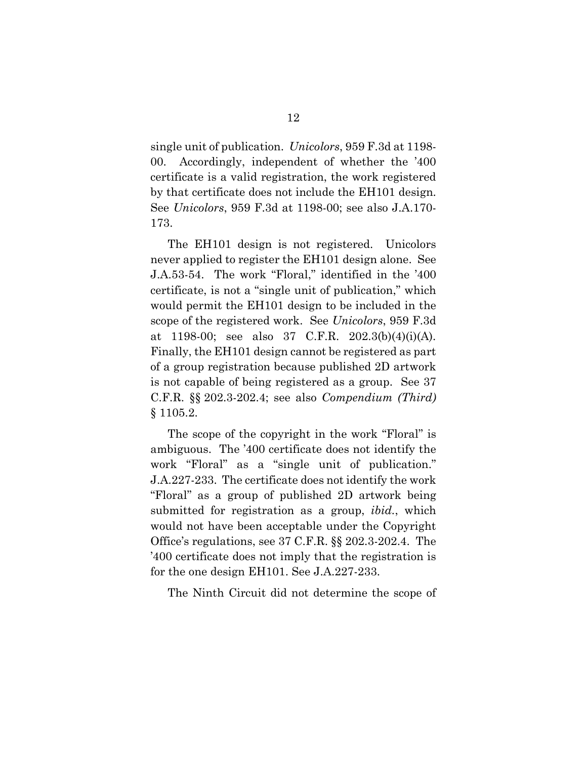single unit of publication. *Unicolors*, 959 F.3d at 1198- 00. Accordingly, independent of whether the '400 certificate is a valid registration, the work registered by that certificate does not include the EH101 design. See *Unicolors*, 959 F.3d at 1198-00; see also J.A.170- 173.

The EH101 design is not registered. Unicolors never applied to register the EH101 design alone. See J.A.53-54. The work "Floral," identified in the '400 certificate, is not a "single unit of publication," which would permit the EH101 design to be included in the scope of the registered work. See *Unicolors*, 959 F.3d at 1198-00; see also 37 C.F.R. 202.3(b)(4)(i)(A). Finally, the EH101 design cannot be registered as part of a group registration because published 2D artwork is not capable of being registered as a group. See 37 C.F.R. §§ 202.3-202.4; see also *Compendium (Third)* § 1105.2.

The scope of the copyright in the work "Floral" is ambiguous. The '400 certificate does not identify the work "Floral" as a "single unit of publication." J.A.227-233. The certificate does not identify the work "Floral" as a group of published 2D artwork being submitted for registration as a group, *ibid.*, which would not have been acceptable under the Copyright Office's regulations, see 37 C.F.R. §§ 202.3-202.4. The '400 certificate does not imply that the registration is for the one design EH101. See J.A.227-233.

The Ninth Circuit did not determine the scope of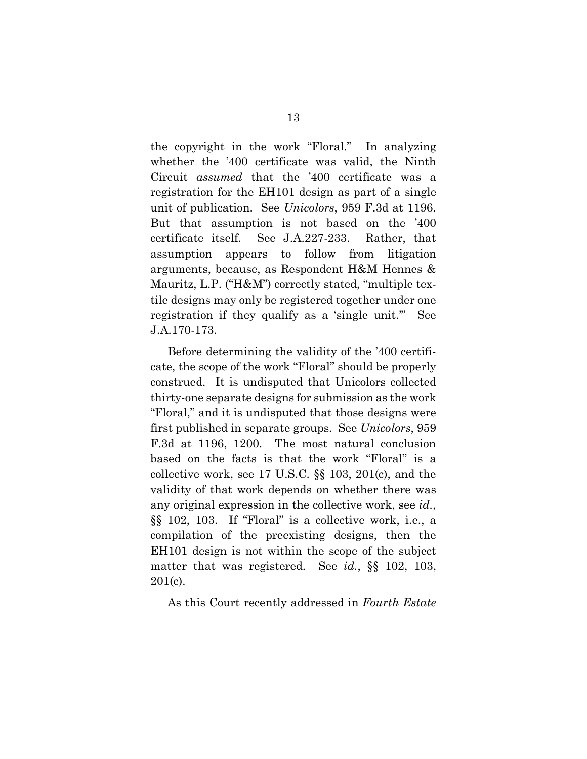the copyright in the work "Floral." In analyzing whether the '400 certificate was valid, the Ninth Circuit *assumed* that the '400 certificate was a registration for the EH101 design as part of a single unit of publication. See *Unicolors*, 959 F.3d at 1196. But that assumption is not based on the '400 certificate itself. See J.A.227-233. Rather, that assumption appears to follow from litigation arguments, because, as Respondent H&M Hennes & Mauritz, L.P. ("H&M") correctly stated, "multiple textile designs may only be registered together under one registration if they qualify as a 'single unit.'" See J.A.170-173.

Before determining the validity of the '400 certificate, the scope of the work "Floral" should be properly construed. It is undisputed that Unicolors collected thirty-one separate designs for submission as the work "Floral," and it is undisputed that those designs were first published in separate groups. See *Unicolors*, 959 F.3d at 1196, 1200. The most natural conclusion based on the facts is that the work "Floral" is a collective work, see 17 U.S.C. §§ 103, 201(c), and the validity of that work depends on whether there was any original expression in the collective work, see *id.*, §§ 102, 103. If "Floral" is a collective work, i.e., a compilation of the preexisting designs, then the EH101 design is not within the scope of the subject matter that was registered. See *id.*, §§ 102, 103, 201(c).

As this Court recently addressed in *Fourth Estate*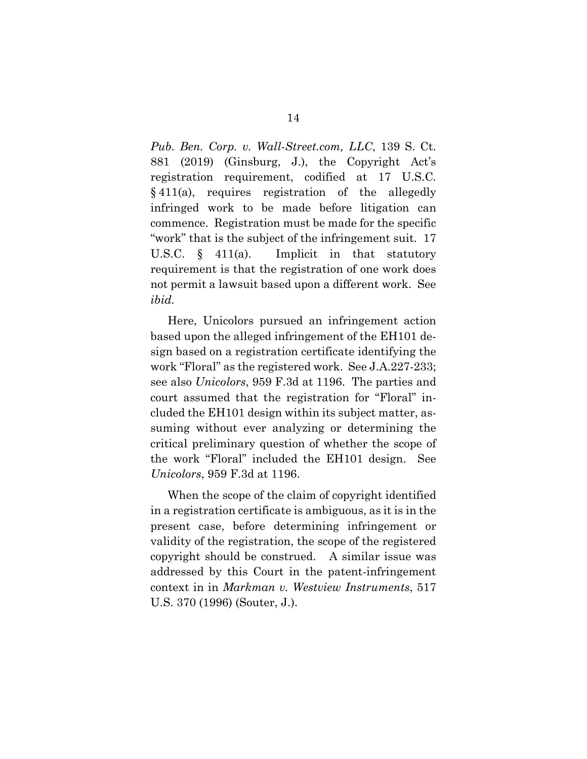*Pub. Ben. Corp. v. Wall-Street.com, LLC*, 139 S. Ct. 881 (2019) (Ginsburg, J.), the Copyright Act's registration requirement, codified at 17 U.S.C. § 411(a), requires registration of the allegedly infringed work to be made before litigation can commence. Registration must be made for the specific "work" that is the subject of the infringement suit. 17 U.S.C. § 411(a). Implicit in that statutory requirement is that the registration of one work does not permit a lawsuit based upon a different work. See *ibid.*

Here, Unicolors pursued an infringement action based upon the alleged infringement of the EH101 design based on a registration certificate identifying the work "Floral" as the registered work. See J.A.227-233; see also *Unicolors*, 959 F.3d at 1196. The parties and court assumed that the registration for "Floral" included the EH101 design within its subject matter, assuming without ever analyzing or determining the critical preliminary question of whether the scope of the work "Floral" included the EH101 design. See *Unicolors*, 959 F.3d at 1196.

When the scope of the claim of copyright identified in a registration certificate is ambiguous, as it is in the present case, before determining infringement or validity of the registration, the scope of the registered copyright should be construed. A similar issue was addressed by this Court in the patent-infringement context in in *Markman v. Westview Instruments*, 517 U.S. 370 (1996) (Souter, J.).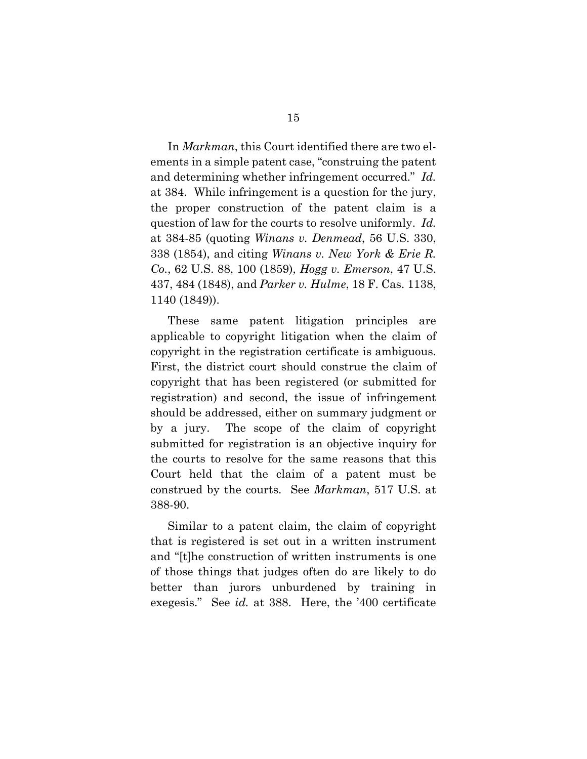In *Markman*, this Court identified there are two elements in a simple patent case, "construing the patent and determining whether infringement occurred." *Id.* at 384. While infringement is a question for the jury, the proper construction of the patent claim is a question of law for the courts to resolve uniformly. *Id.* at 384-85 (quoting *Winans v. Denmead*, 56 U.S. 330, 338 (1854), and citing *Winans v. New York & Erie R. Co.*, 62 U.S. 88, 100 (1859), *Hogg v. Emerson*, 47 U.S. 437, 484 (1848), and *Parker v. Hulme*, 18 F. Cas. 1138, 1140 (1849)).

These same patent litigation principles are applicable to copyright litigation when the claim of copyright in the registration certificate is ambiguous. First, the district court should construe the claim of copyright that has been registered (or submitted for registration) and second, the issue of infringement should be addressed, either on summary judgment or by a jury. The scope of the claim of copyright submitted for registration is an objective inquiry for the courts to resolve for the same reasons that this Court held that the claim of a patent must be construed by the courts. See *Markman*, 517 U.S. at 388-90.

Similar to a patent claim, the claim of copyright that is registered is set out in a written instrument and "[t]he construction of written instruments is one of those things that judges often do are likely to do better than jurors unburdened by training in exegesis." See *id.* at 388. Here, the '400 certificate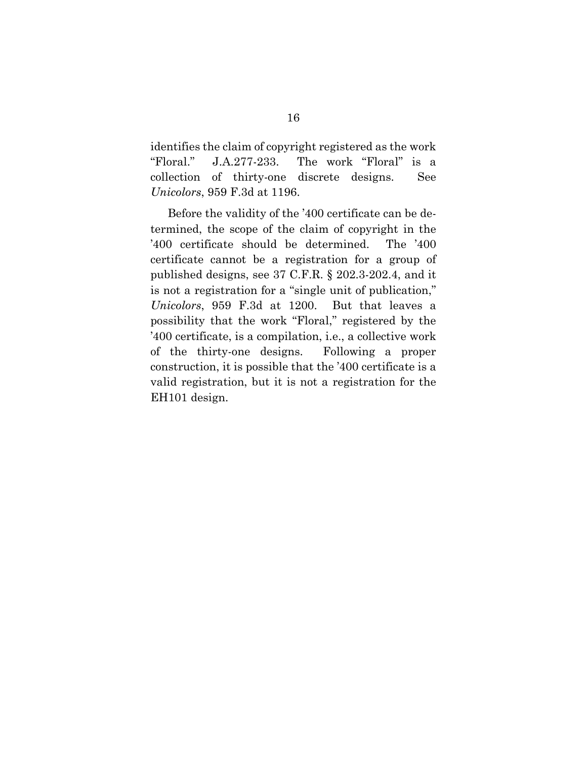identifies the claim of copyright registered as the work "Floral." J.A.277-233. The work "Floral" is a collection of thirty-one discrete designs. See *Unicolors*, 959 F.3d at 1196.

Before the validity of the '400 certificate can be determined, the scope of the claim of copyright in the '400 certificate should be determined. The '400 certificate cannot be a registration for a group of published designs, see 37 C.F.R. § 202.3-202.4, and it is not a registration for a "single unit of publication," *Unicolors*, 959 F.3d at 1200. But that leaves a possibility that the work "Floral," registered by the '400 certificate, is a compilation, i.e., a collective work of the thirty-one designs. Following a proper construction, it is possible that the '400 certificate is a valid registration, but it is not a registration for the EH101 design.